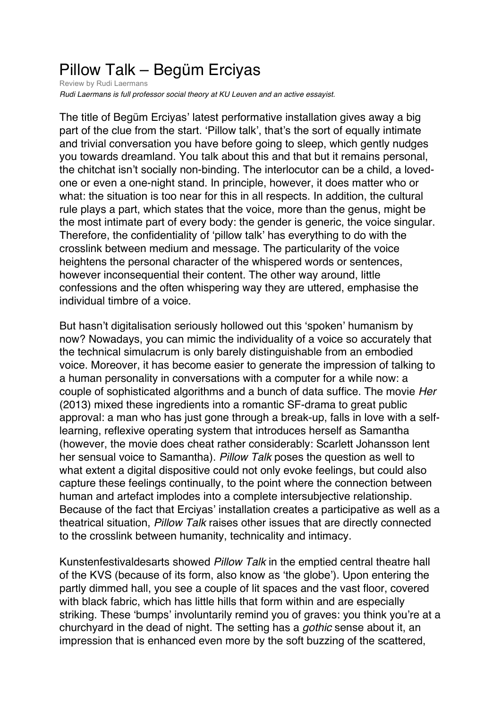## Pillow Talk – Begüm Erciyas

Review by Rudi Laermans *Rudi Laermans is full professor social theory at KU Leuven and an active essayist.*

The title of Begüm Erciyas' latest performative installation gives away a big part of the clue from the start. 'Pillow talk', that's the sort of equally intimate and trivial conversation you have before going to sleep, which gently nudges you towards dreamland. You talk about this and that but it remains personal, the chitchat isn't socially non-binding. The interlocutor can be a child, a lovedone or even a one-night stand. In principle, however, it does matter who or what: the situation is too near for this in all respects. In addition, the cultural rule plays a part, which states that the voice, more than the genus, might be the most intimate part of every body: the gender is generic, the voice singular. Therefore, the confidentiality of 'pillow talk' has everything to do with the crosslink between medium and message. The particularity of the voice heightens the personal character of the whispered words or sentences, however inconsequential their content. The other way around, little confessions and the often whispering way they are uttered, emphasise the individual timbre of a voice.

But hasn't digitalisation seriously hollowed out this 'spoken' humanism by now? Nowadays, you can mimic the individuality of a voice so accurately that the technical simulacrum is only barely distinguishable from an embodied voice. Moreover, it has become easier to generate the impression of talking to a human personality in conversations with a computer for a while now: a couple of sophisticated algorithms and a bunch of data suffice. The movie *Her* (2013) mixed these ingredients into a romantic SF-drama to great public approval: a man who has just gone through a break-up, falls in love with a selflearning, reflexive operating system that introduces herself as Samantha (however, the movie does cheat rather considerably: Scarlett Johansson lent her sensual voice to Samantha). *Pillow Talk* poses the question as well to what extent a digital dispositive could not only evoke feelings, but could also capture these feelings continually, to the point where the connection between human and artefact implodes into a complete intersubjective relationship. Because of the fact that Erciyas' installation creates a participative as well as a theatrical situation, *Pillow Talk* raises other issues that are directly connected to the crosslink between humanity, technicality and intimacy.

Kunstenfestivaldesarts showed *Pillow Talk* in the emptied central theatre hall of the KVS (because of its form, also know as 'the globe'). Upon entering the partly dimmed hall, you see a couple of lit spaces and the vast floor, covered with black fabric, which has little hills that form within and are especially striking. These 'bumps' involuntarily remind you of graves: you think you're at a churchyard in the dead of night. The setting has a *gothic* sense about it, an impression that is enhanced even more by the soft buzzing of the scattered,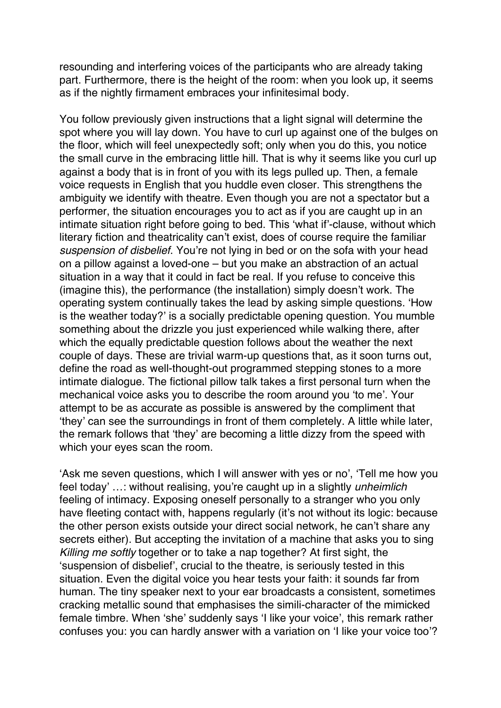resounding and interfering voices of the participants who are already taking part. Furthermore, there is the height of the room: when you look up, it seems as if the nightly firmament embraces your infinitesimal body.

You follow previously given instructions that a light signal will determine the spot where you will lay down. You have to curl up against one of the bulges on the floor, which will feel unexpectedly soft; only when you do this, you notice the small curve in the embracing little hill. That is why it seems like you curl up against a body that is in front of you with its legs pulled up. Then, a female voice requests in English that you huddle even closer. This strengthens the ambiguity we identify with theatre. Even though you are not a spectator but a performer, the situation encourages you to act as if you are caught up in an intimate situation right before going to bed. This 'what if'-clause, without which literary fiction and theatricality can't exist, does of course require the familiar *suspension of disbelief*. You're not lying in bed or on the sofa with your head on a pillow against a loved-one – but you make an abstraction of an actual situation in a way that it could in fact be real. If you refuse to conceive this (imagine this), the performance (the installation) simply doesn't work. The operating system continually takes the lead by asking simple questions. 'How is the weather today?' is a socially predictable opening question. You mumble something about the drizzle you just experienced while walking there, after which the equally predictable question follows about the weather the next couple of days. These are trivial warm-up questions that, as it soon turns out, define the road as well-thought-out programmed stepping stones to a more intimate dialogue. The fictional pillow talk takes a first personal turn when the mechanical voice asks you to describe the room around you 'to me'. Your attempt to be as accurate as possible is answered by the compliment that 'they' can see the surroundings in front of them completely. A little while later, the remark follows that 'they' are becoming a little dizzy from the speed with which your eyes scan the room.

'Ask me seven questions, which I will answer with yes or no', 'Tell me how you feel today' …: without realising, you're caught up in a slightly *unheimlich* feeling of intimacy. Exposing oneself personally to a stranger who you only have fleeting contact with, happens regularly (it's not without its logic: because the other person exists outside your direct social network, he can't share any secrets either). But accepting the invitation of a machine that asks you to sing *Killing me softly* together or to take a nap together? At first sight, the 'suspension of disbelief', crucial to the theatre, is seriously tested in this situation. Even the digital voice you hear tests your faith: it sounds far from human. The tiny speaker next to your ear broadcasts a consistent, sometimes cracking metallic sound that emphasises the simili-character of the mimicked female timbre. When 'she' suddenly says 'I like your voice', this remark rather confuses you: you can hardly answer with a variation on 'I like your voice too'?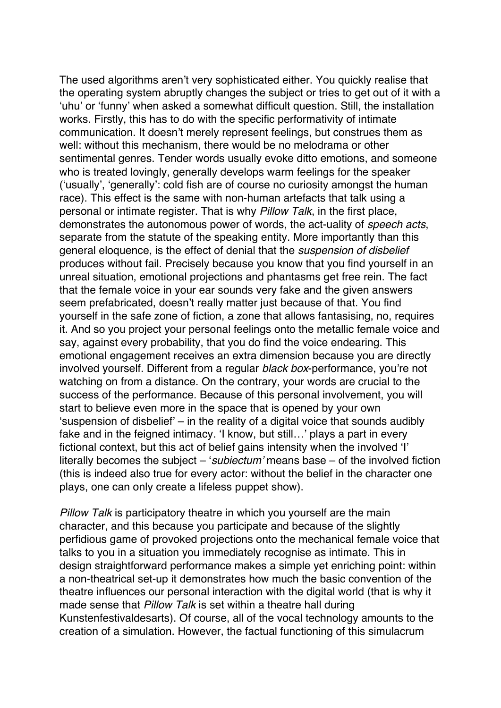The used algorithms aren't very sophisticated either. You quickly realise that the operating system abruptly changes the subject or tries to get out of it with a 'uhu' or 'funny' when asked a somewhat difficult question. Still, the installation works. Firstly, this has to do with the specific performativity of intimate communication. It doesn't merely represent feelings, but construes them as well: without this mechanism, there would be no melodrama or other sentimental genres. Tender words usually evoke ditto emotions, and someone who is treated lovingly, generally develops warm feelings for the speaker ('usually', 'generally': cold fish are of course no curiosity amongst the human race). This effect is the same with non-human artefacts that talk using a personal or intimate register. That is why *Pillow Talk*, in the first place, demonstrates the autonomous power of words, the act-uality of *speech acts*, separate from the statute of the speaking entity. More importantly than this general eloquence, is the effect of denial that the *suspension of disbelief* produces without fail. Precisely because you know that you find yourself in an unreal situation, emotional projections and phantasms get free rein. The fact that the female voice in your ear sounds very fake and the given answers seem prefabricated, doesn't really matter just because of that. You find yourself in the safe zone of fiction, a zone that allows fantasising, no, requires it. And so you project your personal feelings onto the metallic female voice and say, against every probability, that you do find the voice endearing. This emotional engagement receives an extra dimension because you are directly involved yourself. Different from a regular *black box*-performance, you're not watching on from a distance. On the contrary, your words are crucial to the success of the performance. Because of this personal involvement, you will start to believe even more in the space that is opened by your own 'suspension of disbelief' – in the reality of a digital voice that sounds audibly fake and in the feigned intimacy. 'I know, but still…' plays a part in every fictional context, but this act of belief gains intensity when the involved 'I' literally becomes the subject – '*subiectum'* means base – of the involved fiction (this is indeed also true for every actor: without the belief in the character one plays, one can only create a lifeless puppet show).

*Pillow Talk* is participatory theatre in which you yourself are the main character, and this because you participate and because of the slightly perfidious game of provoked projections onto the mechanical female voice that talks to you in a situation you immediately recognise as intimate. This in design straightforward performance makes a simple yet enriching point: within a non-theatrical set-up it demonstrates how much the basic convention of the theatre influences our personal interaction with the digital world (that is why it made sense that *Pillow Talk* is set within a theatre hall during Kunstenfestivaldesarts). Of course, all of the vocal technology amounts to the creation of a simulation. However, the factual functioning of this simulacrum